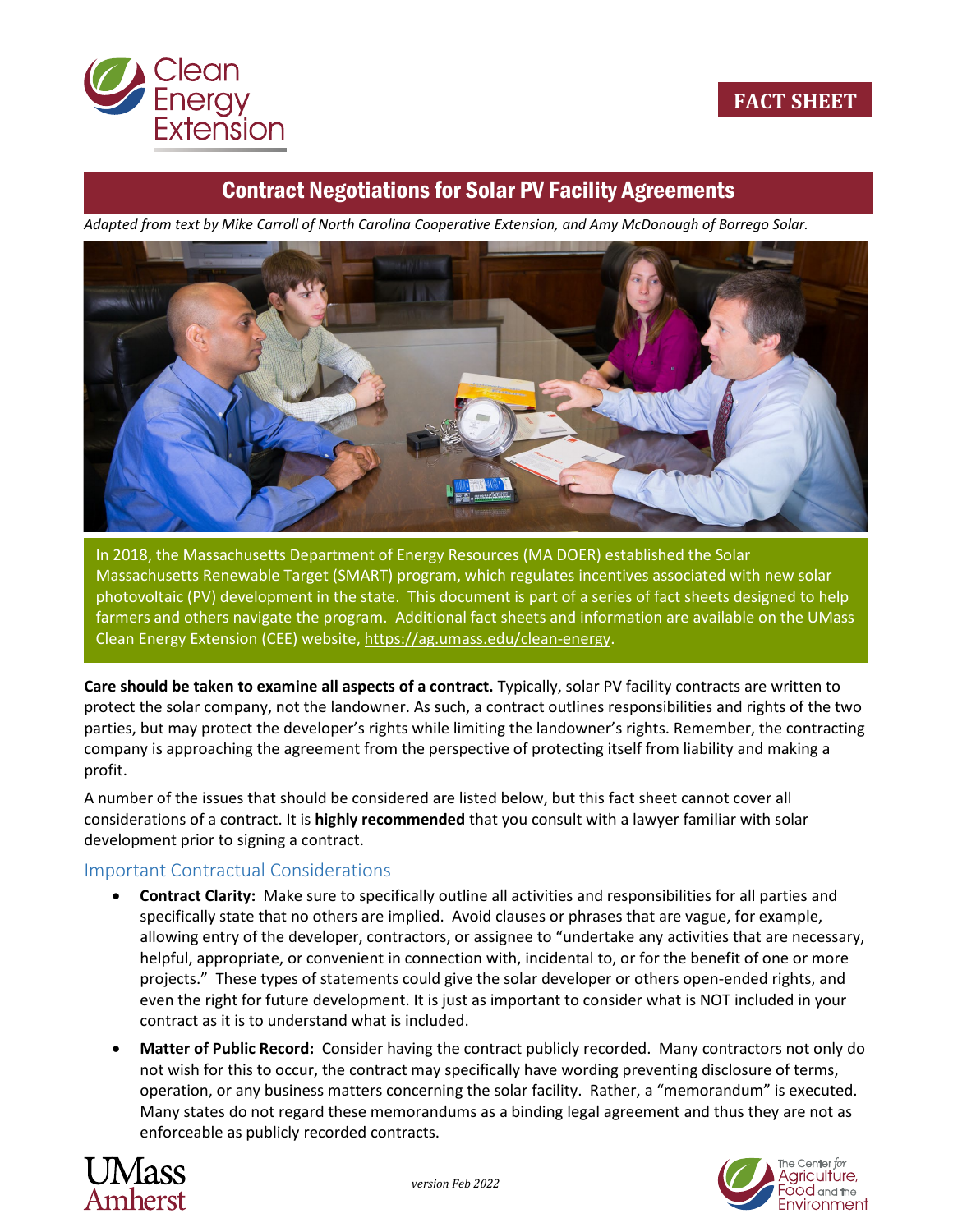

## Contract Negotiations for Solar PV Facility Agreements

*Adapted from text by Mike Carroll of North Carolina Cooperative Extension, and Amy McDonough of Borrego Solar.*



In 2018, the Massachusetts Department of Energy Resources (MA DOER) established the Solar Massachusetts Renewable Target (SMART) program, which regulates incentives associated with new solar photovoltaic (PV) development in the state. This document is part of a series of fact sheets designed to help farmers and others navigate the program. Additional fact sheets and information are available on the UMass Clean Energy Extension (CEE) website, [https://ag.umass.edu/clean-energy.](https://ag.umass.edu/clean-energy)

**Care should be taken to examine all aspects of a contract.** Typically, solar PV facility contracts are written to protect the solar company, not the landowner. As such, a contract outlines responsibilities and rights of the two parties, but may protect the developer's rights while limiting the landowner's rights. Remember, the contracting company is approaching the agreement from the perspective of protecting itself from liability and making a profit.

A number of the issues that should be considered are listed below, but this fact sheet cannot cover all considerations of a contract. It is **highly recommended** that you consult with a lawyer familiar with solar development prior to signing a contract.

## Important Contractual Considerations

- **Contract Clarity:** Make sure to specifically outline all activities and responsibilities for all parties and specifically state that no others are implied. Avoid clauses or phrases that are vague, for example, allowing entry of the developer, contractors, or assignee to "undertake any activities that are necessary, helpful, appropriate, or convenient in connection with, incidental to, or for the benefit of one or more projects." These types of statements could give the solar developer or others open-ended rights, and even the right for future development. It is just as important to consider what is NOT included in your contract as it is to understand what is included.
- **Matter of Public Record:** Consider having the contract publicly recorded. Many contractors not only do not wish for this to occur, the contract may specifically have wording preventing disclosure of terms, operation, or any business matters concerning the solar facility. Rather, a "memorandum" is executed. Many states do not regard these memorandums as a binding legal agreement and thus they are not as enforceable as publicly recorded contracts.



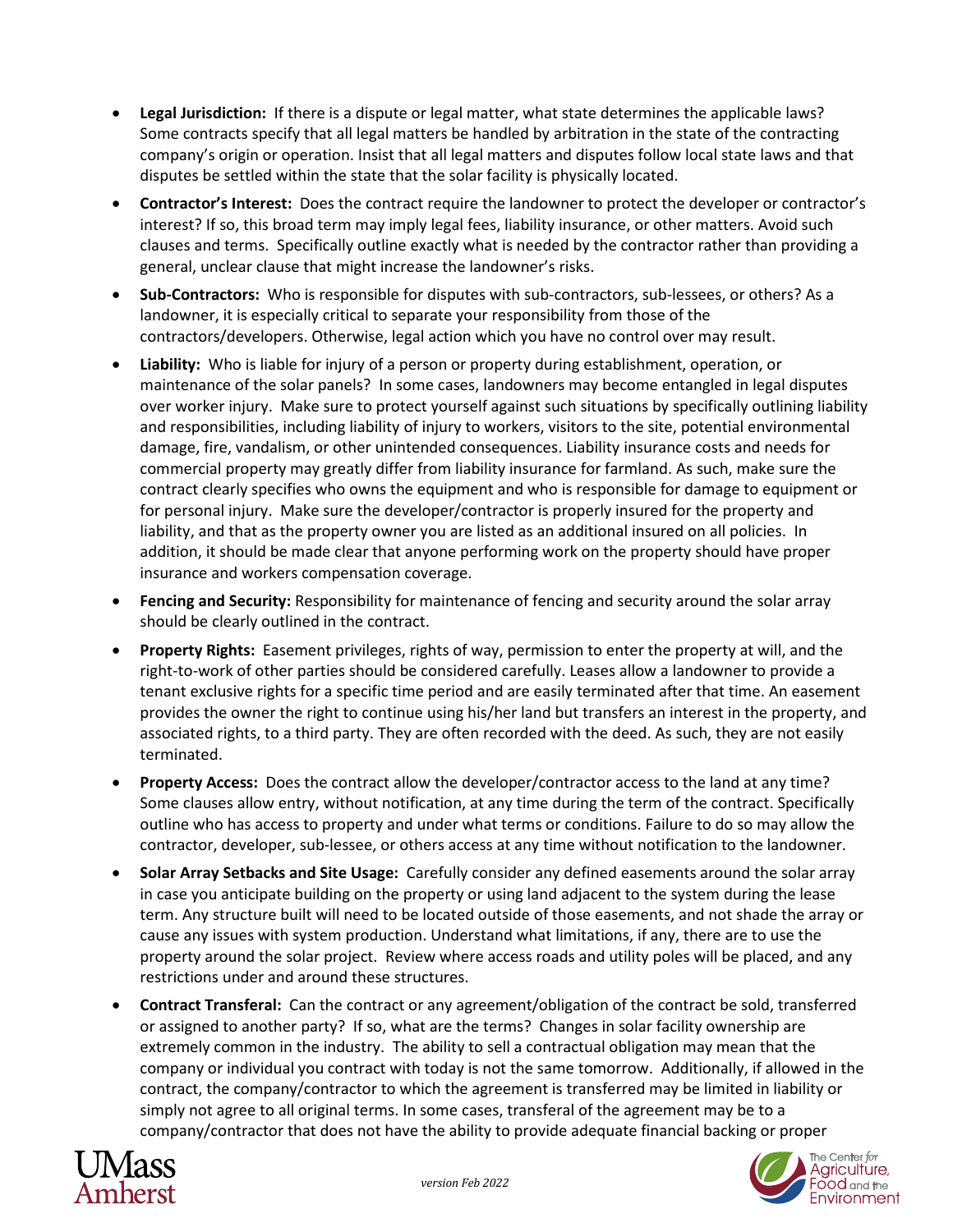- **Legal Jurisdiction:** If there is a dispute or legal matter, what state determines the applicable laws? Some contracts specify that all legal matters be handled by arbitration in the state of the contracting company's origin or operation. Insist that all legal matters and disputes follow local state laws and that disputes be settled within the state that the solar facility is physically located.
- **Contractor's Interest:** Does the contract require the landowner to protect the developer or contractor's interest? If so, this broad term may imply legal fees, liability insurance, or other matters. Avoid such clauses and terms. Specifically outline exactly what is needed by the contractor rather than providing a general, unclear clause that might increase the landowner's risks.
- **Sub-Contractors:** Who is responsible for disputes with sub-contractors, sub-lessees, or others? As a landowner, it is especially critical to separate your responsibility from those of the contractors/developers. Otherwise, legal action which you have no control over may result.
- **Liability:** Who is liable for injury of a person or property during establishment, operation, or maintenance of the solar panels? In some cases, landowners may become entangled in legal disputes over worker injury. Make sure to protect yourself against such situations by specifically outlining liability and responsibilities, including liability of injury to workers, visitors to the site, potential environmental damage, fire, vandalism, or other unintended consequences. Liability insurance costs and needs for commercial property may greatly differ from liability insurance for farmland. As such, make sure the contract clearly specifies who owns the equipment and who is responsible for damage to equipment or for personal injury. Make sure the developer/contractor is properly insured for the property and liability, and that as the property owner you are listed as an additional insured on all policies. In addition, it should be made clear that anyone performing work on the property should have proper insurance and workers compensation coverage.
- **Fencing and Security:** Responsibility for maintenance of fencing and security around the solar array should be clearly outlined in the contract.
- **Property Rights:** Easement privileges, rights of way, permission to enter the property at will, and the right-to-work of other parties should be considered carefully. Leases allow a landowner to provide a tenant exclusive rights for a specific time period and are easily terminated after that time. An easement provides the owner the right to continue using his/her land but transfers an interest in the property, and associated rights, to a third party. They are often recorded with the deed. As such, they are not easily terminated.
- **Property Access:** Does the contract allow the developer/contractor access to the land at any time? Some clauses allow entry, without notification, at any time during the term of the contract. Specifically outline who has access to property and under what terms or conditions. Failure to do so may allow the contractor, developer, sub-lessee, or others access at any time without notification to the landowner.
- **Solar Array Setbacks and Site Usage:** Carefully consider any defined easements around the solar array in case you anticipate building on the property or using land adjacent to the system during the lease term. Any structure built will need to be located outside of those easements, and not shade the array or cause any issues with system production. Understand what limitations, if any, there are to use the property around the solar project. Review where access roads and utility poles will be placed, and any restrictions under and around these structures.
- **Contract Transferal:** Can the contract or any agreement/obligation of the contract be sold, transferred or assigned to another party? If so, what are the terms? Changes in solar facility ownership are extremely common in the industry. The ability to sell a contractual obligation may mean that the company or individual you contract with today is not the same tomorrow. Additionally, if allowed in the contract, the company/contractor to which the agreement is transferred may be limited in liability or simply not agree to all original terms. In some cases, transferal of the agreement may be to a company/contractor that does not have the ability to provide adequate financial backing or proper